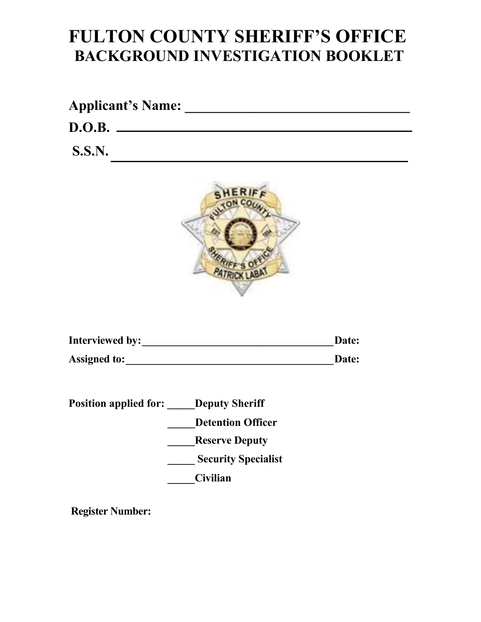# **FULTON COUNTY SHERIFF'S OFFICE BACKGROUND INVESTIGATION BOOKLET**

| <b>Applicant's Name:</b> |  |
|--------------------------|--|
| D.O.B.                   |  |
| <b>S.S.N.</b>            |  |



| <b>Interviewed by:</b> | Date: |
|------------------------|-------|
| <b>Assigned to:</b>    | Date: |

| <b>Position applied for:</b> | <b>Deputy Sheriff</b>      |
|------------------------------|----------------------------|
|                              | <b>Detention Officer</b>   |
|                              | <b>Reserve Deputy</b>      |
|                              | <b>Security Specialist</b> |
|                              | <b>Civilian</b>            |

**Register Number:**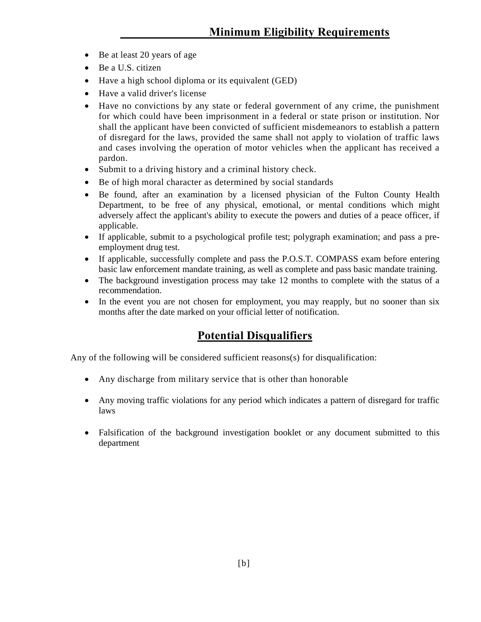- Be at least 20 years of age
- Be a U.S. citizen
- Have a high school diploma or its equivalent (GED)
- Have a valid driver's license
- Have no convictions by any state or federal government of any crime, the punishment for which could have been imprisonment in a federal or state prison or institution. Nor shall the applicant have been convicted of sufficient misdemeanors to establish a pattern of disregard for the laws, provided the same shall not apply to violation of traffic laws and cases involving the operation of motor vehicles when the applicant has received a pardon.
- Submit to a driving history and a criminal history check.
- Be of high moral character as determined by social standards
- Be found, after an examination by a licensed physician of the Fulton County Health Department, to be free of any physical, emotional, or mental conditions which might adversely affect the applicant's ability to execute the powers and duties of a peace officer, if applicable.
- If applicable, submit to a psychological profile test; polygraph examination; and pass a preemployment drug test.
- If applicable, successfully complete and pass the P.O.S.T. COMPASS exam before entering basic law enforcement mandate training, as well as complete and pass basic mandate training.
- The background investigation process may take 12 months to complete with the status of a recommendation.
- In the event you are not chosen for employment, you may reapply, but no sooner than six months after the date marked on your official letter of notification.

### **Potential Disqualifiers**

Any of the following will be considered sufficient reasons(s) for disqualification:

- Any discharge from military service that is other than honorable
- Any moving traffic violations for any period which indicates a pattern of disregard for traffic laws
- Falsification of the background investigation booklet or any document submitted to this department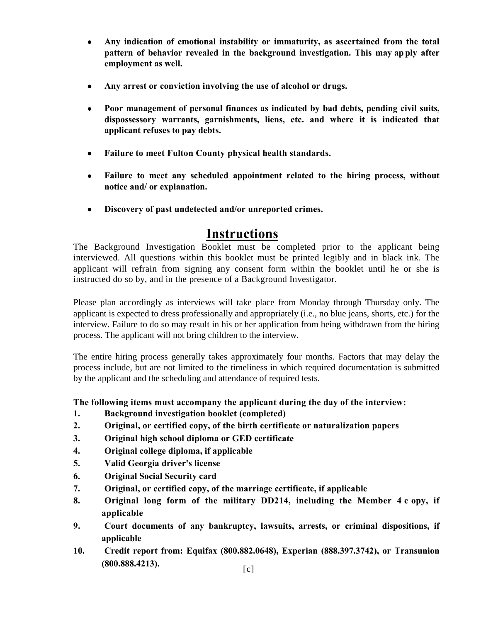- **Any indication of emotional instability or immaturity, as ascertained from the total pattern of behavior revealed in the background investigation. This may ap ply after employment as well.**
- **Any arrest or conviction involving the use of alcohol or drugs.**
- **Poor management of personal finances as indicated by bad debts, pending civil suits, dispossessory warrants, garnishments, liens, etc. and where it is indicated that applicant refuses to pay debts.**
- **Failure to meet Fulton County physical health standards.**
- **Failure to meet any scheduled appointment related to the hiring process, without notice and/ or explanation.**
- **Discovery of past undetected and/or unreported crimes.**

## **Instructions**

The Background Investigation Booklet must be completed prior to the applicant being interviewed. All questions within this booklet must be printed legibly and in black ink. The applicant will refrain from signing any consent form within the booklet until he or she is instructed do so by, and in the presence of a Background Investigator.

Please plan accordingly as interviews will take place from Monday through Thursday only. The applicant is expected to dress professionally and appropriately (i.e., no blue jeans, shorts, etc.) for the interview. Failure to do so may result in his or her application from being withdrawn from the hiring process. The applicant will not bring children to the interview.

The entire hiring process generally takes approximately four months. Factors that may delay the process include, but are not limited to the timeliness in which required documentation is submitted by the applicant and the scheduling and attendance of required tests.

**The following items must accompany the applicant during the day of the interview:**

- **1. Background investigation booklet (completed)**
- **2. Original, or certified copy, of the birth certificate or naturalization papers**
- **3. Original high school diploma or GED certificate**
- **4. Original college diploma, if applicable**
- **5. Valid Georgia driver's license**
- **6. Original Social Security card**
- **7. Original, or certified copy, of the marriage certificate, if applicable**
- **8. Original long form of the military DD214, including the Member 4 c opy, if applicable**
- **9. Court documents of any bankruptcy, lawsuits, arrests, or criminal dispositions, if applicable**
- **10. Credit report from: Equifax (800.882.0648), Experian (888.397.3742), or Transunion (800.888.4213).** [c]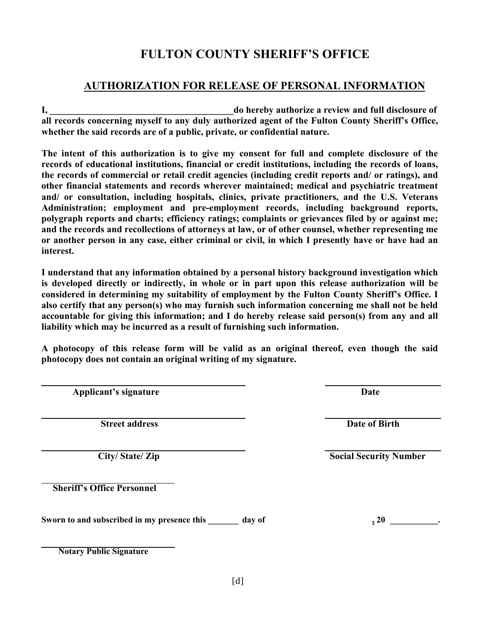### **AUTHORIZATION FOR RELEASE OF PERSONAL INFORMATION**

**I, \_\_\_\_\_\_\_\_\_\_\_\_\_\_\_\_\_\_\_\_\_\_\_\_\_\_\_\_\_\_\_\_\_\_\_\_\_\_\_do hereby authorize a review and full disclosure of all records concerning myself to any duly authorized agent of the Fulton County Sheriff's Office, whether the said records are of a public, private, or confidential nature.**

**The intent of this authorization is to give my consent for full and complete disclosure of the records of educational institutions, financial or credit institutions, including the records of loans, the records of commercial or retail credit agencies (including credit reports and/ or ratings), and other financial statements and records wherever maintained; medical and psychiatric treatment and/ or consultation, including hospitals, clinics, private practitioners, and the U.S. Veterans Administration; employment and pre-employment records, including background reports, polygraph reports and charts; efficiency ratings; complaints or grievances filed by or against me; and the records and recollections of attorneys at law, or of other counsel, whether representing me or another person in any case, either criminal or civil, in which I presently have or have had an interest.**

**I understand that any information obtained by a personal history background investigation which is developed directly or indirectly, in whole or in part upon this release authorization will be considered in determining my suitability of employment by the Fulton County Sheriff's Office. I also certify that any person(s) who may furnish such information concerning me shall not be held accountable for giving this information; and I do hereby release said person(s) from any and all liability which may be incurred as a result of furnishing such information.**

**A photocopy of this release form will be valid as an original thereof, even though the said photocopy does not contain an original writing of my signature.**

**Applicant's signature Date**

**Street address Date of Birth** 

**Sheriff's Office Personnel**

Sworn to and subscribed in my presence this \_\_\_\_\_\_\_ day of  $\cdot$  20 \_\_\_\_\_\_\_\_\_.

**Notary Public Signature**

**City/ State/ Zip Social Security Number**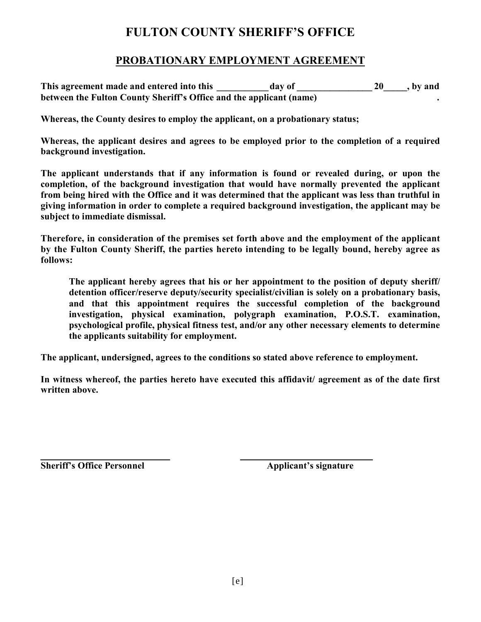#### **PROBATIONARY EMPLOYMENT AGREEMENT**

This agreement made and entered into this day of 20 the set of the set of the set of the set of the set of the set of the set of the set of the set of the set of the set of the set of the set of the set of the set of the s **between the Fulton County Sheriff's Office and the applicant (name) .** 

**Whereas, the County desires to employ the applicant, on a probationary status;** 

**Whereas, the applicant desires and agrees to be employed prior to the completion of a required background investigation.** 

**The applicant understands that if any information is found or revealed during, or upon the completion, of the background investigation that would have normally prevented the applicant from being hired with the Office and it was determined that the applicant was less than truthful in giving information in order to complete a required background investigation, the applicant may be subject to immediate dismissal.**

**Therefore, in consideration of the premises set forth above and the employment of the applicant by the Fulton County Sheriff, the parties hereto intending to be legally bound, hereby agree as follows:** 

**The applicant hereby agrees that his or her appointment to the position of deputy sheriff/ detention officer/reserve deputy/security specialist/civilian is solely on a probationary basis, and that this appointment requires the successful completion of the background investigation, physical examination, polygraph examination, P.O.S.T. examination, psychological profile, physical fitness test, and/or any other necessary elements to determine the applicants suitability for employment.**

**The applicant, undersigned, agrees to the conditions so stated above reference to employment.**

**In witness whereof, the parties hereto have executed this affidavit/ agreement as of the date first written above.**

**Sheriff's Office Personnel Applicant's signature**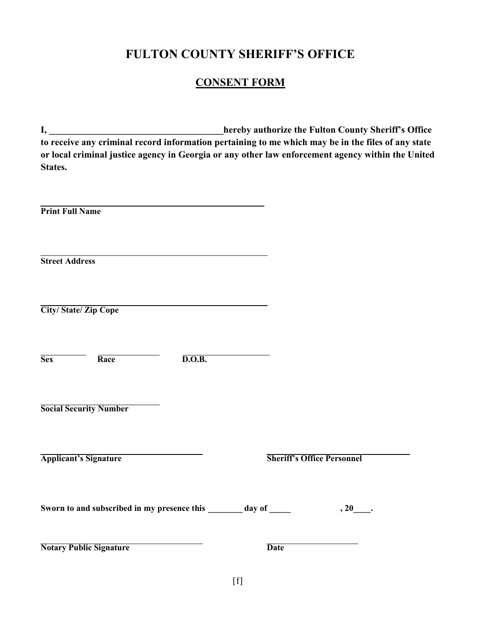### **CONSENT FORM**

**I, \_\_\_\_\_\_\_\_\_\_\_\_\_\_\_\_\_\_\_\_\_\_\_\_\_\_\_\_\_\_\_\_\_\_\_\_\_hereby authorize the Fulton County Sheriff's Office to receive any criminal record information pertaining to me which may be in the files of any state or local criminal justice agency in Georgia or any other law enforcement agency within the United States.**

| <b>Print Full Name</b>                                           |                                   |
|------------------------------------------------------------------|-----------------------------------|
| <b>Street Address</b>                                            |                                   |
| <b>City/State/Zip Cope</b>                                       |                                   |
| $\overline{\text{Sex}}$<br>Race<br>$\overline{\text{D.O.B.}}$    |                                   |
| <b>Social Security Number</b>                                    |                                   |
| <b>Applicant's Signature</b>                                     | <b>Sheriff's Office Personnel</b> |
| Sworn to and subscribed in my presence this _______ day of _____ |                                   |
| <b>Notary Public Signature</b>                                   | <b>Date</b>                       |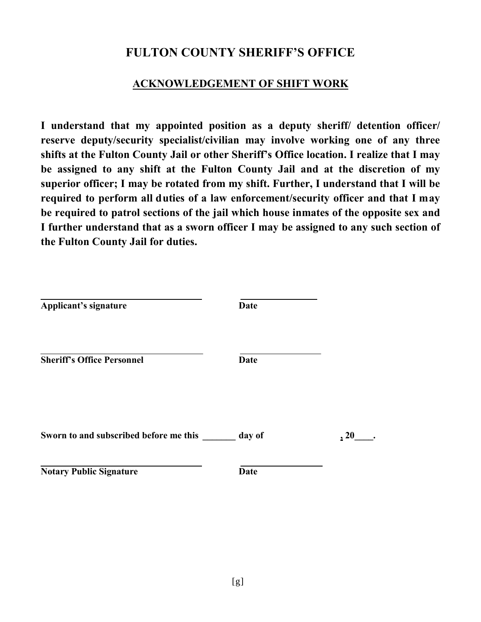### **ACKNOWLEDGEMENT OF SHIFT WORK**

**I understand that my appointed position as a deputy sheriff/ detention officer/ reserve deputy/security specialist/civilian may involve working one of any three shifts at the Fulton County Jail or other Sheriff's Office location. I realize that I may be assigned to any shift at the Fulton County Jail and at the discretion of my superior officer; I may be rotated from my shift. Further, I understand that I will be required to perform all duties of a law enforcement/security officer and that I may be required to patrol sections of the jail which house inmates of the opposite sex and I further understand that as a sworn officer I may be assigned to any such section of the Fulton County Jail for duties.**

| Applicant's signature                  | <b>Date</b> |      |
|----------------------------------------|-------------|------|
| <b>Sheriff's Office Personnel</b>      | <b>Date</b> |      |
| Sworn to and subscribed before me this | day of      | , 20 |
| <b>Notary Public Signature</b>         | <b>Date</b> |      |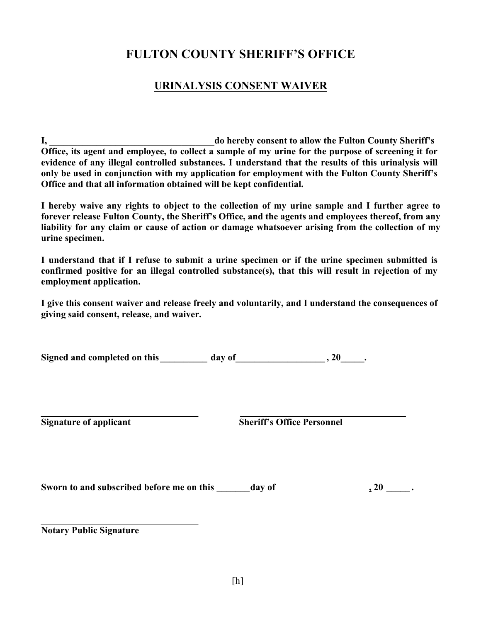### **URINALYSIS CONSENT WAIVER**

**I, \_\_\_\_\_\_\_\_\_\_\_\_\_\_\_\_\_\_\_\_\_\_\_\_\_\_\_\_\_\_\_\_\_\_\_do hereby consent to allow the Fulton County Sheriff's Office, its agent and employee, to collect a sample of my urine for the purpose of screening it for evidence of any illegal controlled substances. I understand that the results of this urinalysis will only be used in conjunction with my application for employment with the Fulton County Sheriff's Office and that all information obtained will be kept confidential.**

**I hereby waive any rights to object to the collection of my urine sample and I further agree to forever release Fulton County, the Sheriff's Office, and the agents and employees thereof, from any liability for any claim or cause of action or damage whatsoever arising from the collection of my urine specimen.**

**I understand that if I refuse to submit a urine specimen or if the urine specimen submitted is confirmed positive for an illegal controlled substance(s), that this will result in rejection of my employment application.** 

**I give this consent waiver and release freely and voluntarily, and I understand the consequences of giving said consent, release, and waiver.** 

**Signed and completed on this day of** , 20 and **completed** on this **and <b>day** of **. 30** 

**Signature of applicant Sheriff's Office Personnel** 

Sworn to and subscribed before me on this \_\_\_\_\_\_ day of  $\qquad \qquad$  , 20 \_\_\_\_\_ .

**Notary Public Signature**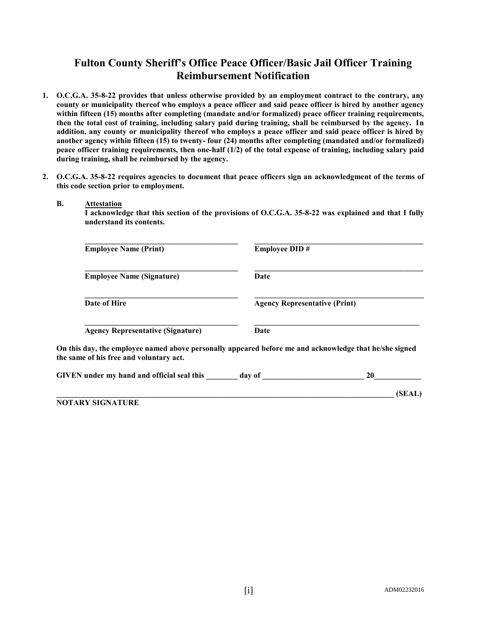### **Fulton County Sheriff's Office Peace Officer/Basic Jail Officer Training Reimbursement Notification**

- **1. O.C.G.A. 35-8-22 provides that unless otherwise provided by an employment contract to the contrary, any county or municipality thereof who employs a peace officer and said peace officer is hired by another agency within fifteen (15) months after completing (mandate and/or formalized) peace officer training requirements, then the total cost of training, including salary paid during training, shall be reimbursed by the agency. In addition, any county or municipality thereof who employs a peace officer and said peace officer is hired by another agency within fifteen (15) to twenty- four (24) months after completing (mandated and/or formalized) peace officer training requirements, then one-half (1/2) of the total expense of training, including salary paid during training, shall be reimbursed by the agency.**
- **2. O.C.G.A. 35-8-22 requires agencies to document that peace officers sign an acknowledgment of the terms of this code section prior to employment.**

#### **B. Attestation**

**I acknowledge that this section of the provisions of O.C.G.A. 35-8-22 was explained and that I fully understand its contents.**

| <b>Employee Name (Print)</b>                      | <b>Employee DID#</b>                                                                                   |
|---------------------------------------------------|--------------------------------------------------------------------------------------------------------|
| <b>Employee Name (Signature)</b>                  | Date                                                                                                   |
| Date of Hire                                      | <b>Agency Representative (Print)</b>                                                                   |
| <b>Agency Representative (Signature)</b>          | Date                                                                                                   |
| the same of his free and voluntary act.           | On this day, the employee named above personally appeared before me and acknowledge that he/she signed |
| <b>GIVEN</b> under my hand and official seal this | 20<br>day of                                                                                           |

**\_\_\_\_\_\_\_\_\_\_\_\_\_\_\_\_\_\_\_\_\_\_\_\_\_\_\_\_\_\_\_\_\_\_\_\_\_\_\_\_\_\_\_\_\_\_\_\_\_\_\_\_\_\_\_\_\_\_\_\_\_\_\_\_\_\_\_\_\_\_\_\_\_\_\_\_\_\_\_\_\_\_\_\_\_\_ (SEAL)**

|  | <b>NOTARY SIGNATURE</b> |
|--|-------------------------|
|--|-------------------------|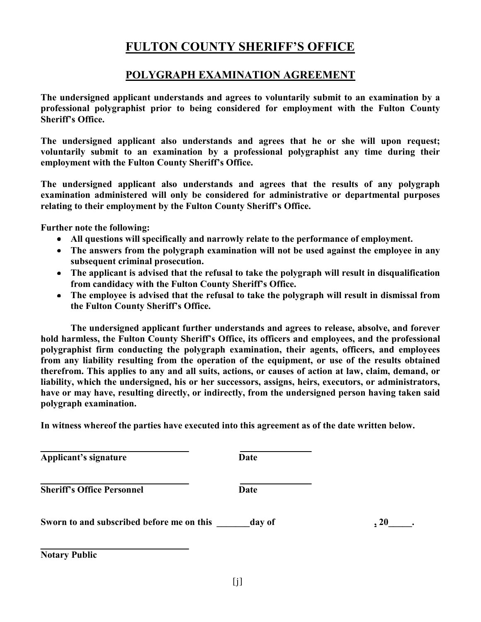### **POLYGRAPH EXAMINATION AGREEMENT**

**The undersigned applicant understands and agrees to voluntarily submit to an examination by a professional polygraphist prior to being considered for employment with the Fulton County Sheriff's Office.**

**The undersigned applicant also understands and agrees that he or she will upon request; voluntarily submit to an examination by a professional polygraphist any time during their employment with the Fulton County Sheriff's Office.**

**The undersigned applicant also understands and agrees that the results of any polygraph examination administered will only be considered for administrative or departmental purposes relating to their employment by the Fulton County Sheriff's Office.**

**Further note the following:** 

- **All questions will specifically and narrowly relate to the performance of employment.**
- **The answers from the polygraph examination will not be used against the employee in any subsequent criminal prosecution.**
- **The applicant is advised that the refusal to take the polygraph will result in disqualification from candidacy with the Fulton County Sheriff's Office.**
- **The employee is advised that the refusal to take the polygraph will result in dismissal from the Fulton County Sheriff's Office.**

**The undersigned applicant further understands and agrees to release, absolve, and forever hold harmless, the Fulton County Sheriff's Office, its officers and employees, and the professional polygraphist firm conducting the polygraph examination, their agents, officers, and employees from any liability resulting from the operation of the equipment, or use of the results obtained therefrom. This applies to any and all suits, actions, or causes of action at law, claim, demand, or liability, which the undersigned, his or her successors, assigns, heirs, executors, or administrators, have or may have, resulting directly, or indirectly, from the undersigned person having taken said polygraph examination.** 

**In witness whereof the parties have executed into this agreement as of the date written below.**

**Applicant's signature Date**

**Sheriff's Office Personnel Date** 

**Sworn to and subscribed before me on this day of , 20 ,** 

**Notary Public**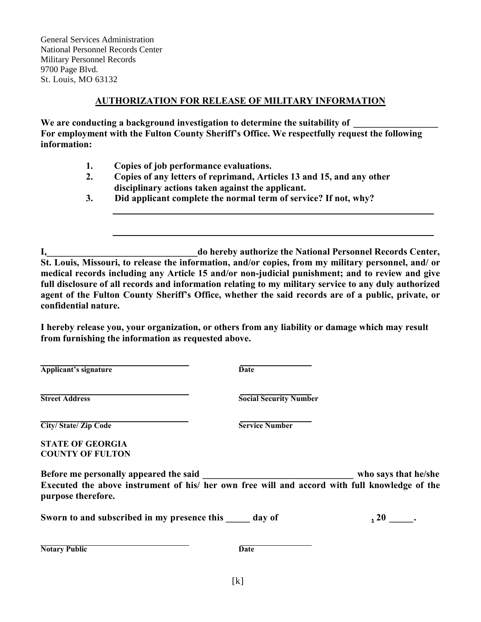General Services Administration National Personnel Records Center Military Personnel Records 9700 Page Blvd. St. Louis, MO 63132

#### **AUTHORIZATION FOR RELEASE OF MILITARY INFORMATION**

We are conducting a background investigation to determine the suitability of **For employment with the Fulton County Sheriff's Office. We respectfully request the following information:** 

- **1. Copies of job performance evaluations.**
- **2. Copies of any letters of reprimand, Articles 13 and 15, and any other disciplinary actions taken against the applicant.**
- **3. Did applicant complete the normal term of service? If not, why?**

**I,\_\_\_\_\_\_\_\_\_\_\_\_\_\_\_\_\_\_\_\_\_\_\_\_\_\_\_\_\_\_\_\_do hereby authorize the National Personnel Records Center, St. Louis, Missouri, to release the information, and/or copies, from my military personnel, and/ or medical records including any Article 15 and/or non-judicial punishment; and to review and give full disclosure of all records and information relating to my military service to any duly authorized agent of the Fulton County Sheriff's Office, whether the said records are of a public, private, or confidential nature.**

**I hereby release you, your organization, or others from any liability or damage which may result from furnishing the information as requested above.**

**Applicant's signature Date**

**Street Address Social Security Number**

**City/State/ Zip Code Service Number** 

**STATE OF GEORGIA COUNTY OF FULTON**

**Before me personally appeared the said \_\_\_\_\_\_\_\_\_\_\_\_\_\_\_\_\_\_\_\_\_\_\_\_\_\_\_\_\_\_\_\_ who says that he/she Executed the above instrument of his/ her own free will and accord with full knowledge of the purpose therefore.** 

Sworn to and subscribed in my presence this \_\_\_\_\_\_\_ day of  $\qquad \qquad$  , 20 \_\_\_\_\_.

**Notary Public** Date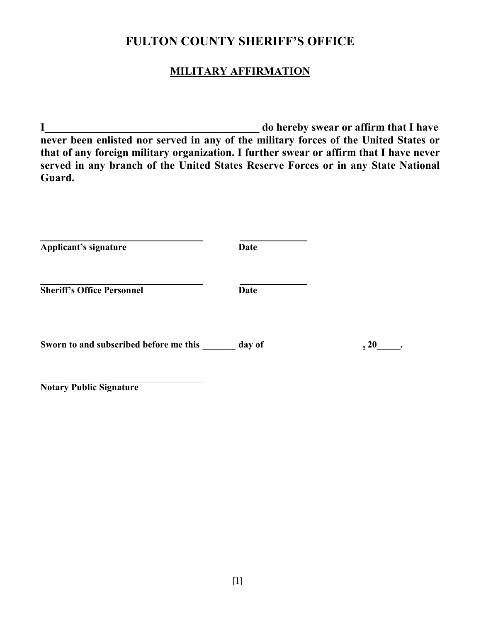### **MILITARY AFFIRMATION**

**I\_\_\_\_\_\_\_\_\_\_\_\_\_\_\_\_\_\_\_\_\_\_\_\_\_\_\_\_\_\_\_\_\_\_\_\_\_\_\_ do hereby swear or affirm that I have never been enlisted nor served in any of the military forces of the United States or that of any foreign military organization. I further swear or affirm that I have never served in any branch of the United States Reserve Forces or in any State National Guard.**

| Date        |      |
|-------------|------|
| <b>Date</b> |      |
| day of      | , 20 |
|             |      |

**Notary Public Signature**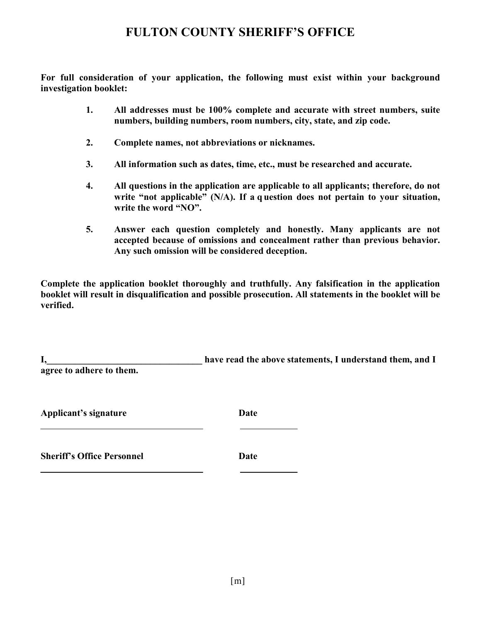**For full consideration of your application, the following must exist within your background investigation booklet:** 

- **1. All addresses must be 100% complete and accurate with street numbers, suite numbers, building numbers, room numbers, city, state, and zip code.**
- **2. Complete names, not abbreviations or nicknames.**
- **3. All information such as dates, time, etc., must be researched and accurate.**
- **4. All questions in the application are applicable to all applicants; therefore, do not write "not applicable" (N/A). If a q uestion does not pertain to your situation, write the word "NO".**
- **5. Answer each question completely and honestly. Many applicants are not accepted because of omissions and concealment rather than previous behavior. Any such omission will be considered deception.**

**Complete the application booklet thoroughly and truthfully. Any falsification in the application booklet will result in disqualification and possible prosecution. All statements in the booklet will be verified.**

| ı.                       | have read the above statements, I understand them, and I |
|--------------------------|----------------------------------------------------------|
| agree to adhere to them. |                                                          |
|                          |                                                          |

**Applicant's signature Date**

**Sheriff's Office Personnel Date**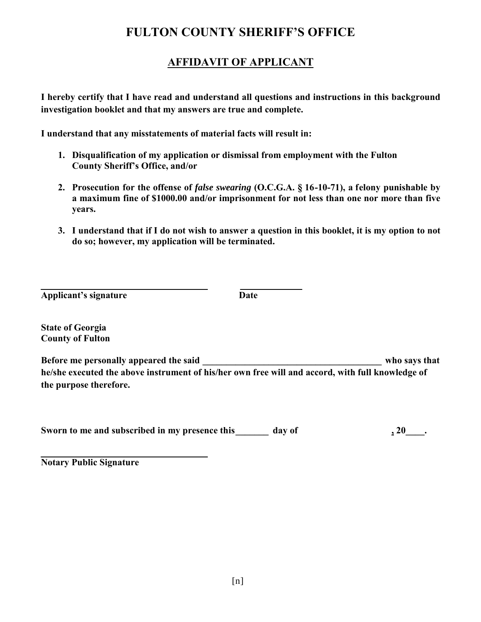### **AFFIDAVIT OF APPLICANT**

**I hereby certify that I have read and understand all questions and instructions in this background investigation booklet and that my answers are true and complete.** 

**I understand that any misstatements of material facts will result in:**

- **1. Disqualification of my application or dismissal from employment with the Fulton County Sheriff's Office, and/or**
- **2. Prosecution for the offense of** *false swearing* **(O.C.G.A. § 16-10-71), a felony punishable by a maximum fine of \$1000.00 and/or imprisonment for not less than one nor more than five years.**
- **3. I understand that if I do not wish to answer a question in this booklet, it is my option to not do so; however, my application will be terminated.**

**Applicant's signature Date**

**State of Georgia County of Fulton** 

**Before me personally appeared the said \_\_\_\_\_\_\_\_\_\_\_\_\_\_\_\_\_\_\_\_\_\_\_\_\_\_\_\_\_\_\_\_\_\_\_\_\_\_ who says that he/she executed the above instrument of his/her own free will and accord, with full knowledge of the purpose therefore.**

Sworn to me and subscribed in my presence this day of  $\frac{120}{120}$ .

**Notary Public Signature**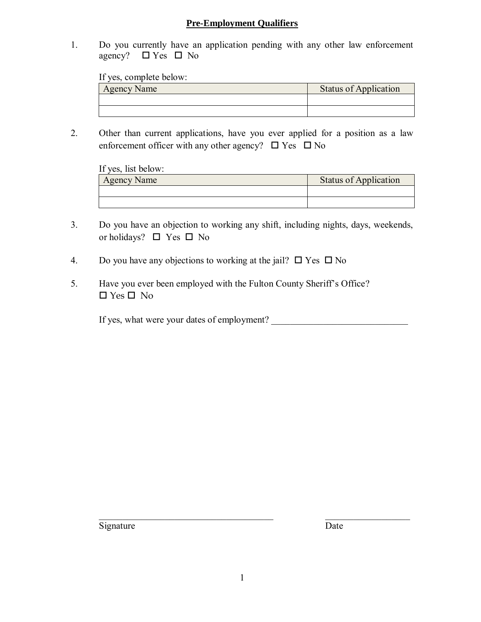#### **Pre-Employment Qualifiers**

1. Do you currently have an application pending with any other law enforcement agency?  $\Box$  Yes  $\Box$  No

If yes, complete below:

| <b>Agency Name</b> | <b>Status of Application</b> |
|--------------------|------------------------------|
|                    |                              |
|                    |                              |

2. Other than current applications, have you ever applied for a position as a law enforcement officer with any other agency?  $\Box$  Yes  $\Box$  No

| If yes, list below: |                              |
|---------------------|------------------------------|
| <b>Agency Name</b>  | <b>Status of Application</b> |
|                     |                              |
|                     |                              |

- 3. Do you have an objection to working any shift, including nights, days, weekends, or holidays?  $\Box$  Yes  $\Box$  No
- 4. Do you have any objections to working at the jail?  $\Box$  Yes  $\Box$  No
- 5. Have you ever been employed with the Fulton County Sheriff's Office?  $\Box$  Yes  $\Box$  No

If yes, what were your dates of employment?

\_\_\_\_\_\_\_\_\_\_\_\_\_\_\_\_\_\_\_\_\_\_\_\_\_\_\_\_\_\_\_\_\_\_\_\_\_ \_\_\_\_\_\_\_\_\_\_\_\_\_\_\_\_\_\_ Signature Date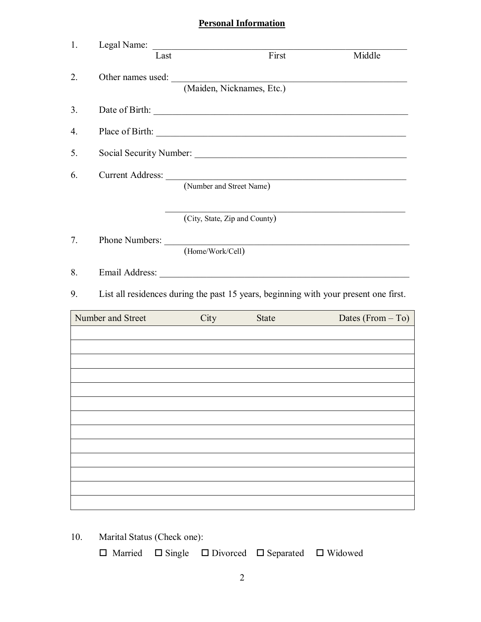## **Personal Information**

10. Marital Status (Check one):

 $\square$  Married  $\square$  Single  $\square$  Divorced  $\square$  Separated  $\square$  Widowed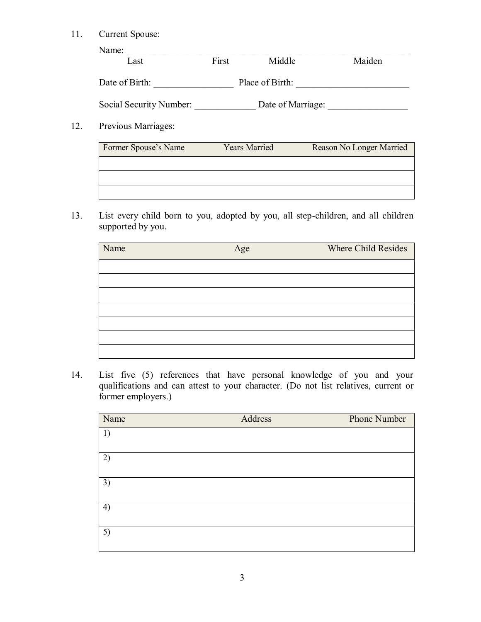#### 11. Current Spouse:

| Name:                   |       |                   |        |
|-------------------------|-------|-------------------|--------|
| Last                    | First | Middle            | Maiden |
|                         |       |                   |        |
| Date of Birth:          |       | Place of Birth:   |        |
|                         |       |                   |        |
| Social Security Number: |       | Date of Marriage: |        |
|                         |       |                   |        |

#### 12. Previous Marriages:

| Former Spouse's Name | <b>Years Married</b> | Reason No Longer Married |
|----------------------|----------------------|--------------------------|
|                      |                      |                          |
|                      |                      |                          |
|                      |                      |                          |

13. List every child born to you, adopted by you, all step-children, and all children supported by you.

| Name | Age | <b>Where Child Resides</b> |
|------|-----|----------------------------|
|      |     |                            |
|      |     |                            |
|      |     |                            |
|      |     |                            |
|      |     |                            |
|      |     |                            |
|      |     |                            |

14. List five (5) references that have personal knowledge of you and your qualifications and can attest to your character. (Do not list relatives, current or former employers.)

| Name | Address | Phone Number |
|------|---------|--------------|
| 1)   |         |              |
|      |         |              |
| 2)   |         |              |
| 3)   |         |              |
| 4)   |         |              |
| 5)   |         |              |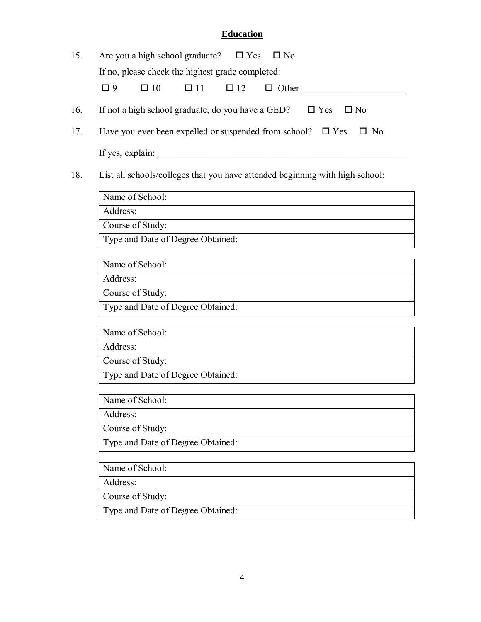#### **Education**

| 15. |                  |           | Are you a high school graduate? $\Box$ Yes $\Box$ No |              |                      |                                                                            |  |
|-----|------------------|-----------|------------------------------------------------------|--------------|----------------------|----------------------------------------------------------------------------|--|
|     |                  |           | If no, please check the highest grade completed:     |              |                      |                                                                            |  |
|     | $\Box$ 9         | $\Box$ 10 | $\Box$ 11 $\Box$ 12                                  | $\Box$ Other |                      |                                                                            |  |
| 16. |                  |           | If not a high school graduate, do you have a GED?    |              | $\Box$ Yes $\Box$ No |                                                                            |  |
| 17. |                  |           |                                                      |              |                      | Have you ever been expelled or suspended from school? $\Box$ Yes $\Box$ No |  |
|     | If yes, explain: |           |                                                      |              |                      |                                                                            |  |

18. List all schools/colleges that you have attended beginning with high school:

Name of School: Address: Course of Study:

Type and Date of Degree Obtained:

Name of School:

Address:

Course of Study:

Type and Date of Degree Obtained:

Name of School:

Address:

Course of Study:

Type and Date of Degree Obtained:

Name of School:

Address:

Course of Study:

Type and Date of Degree Obtained:

Name of School:

Address:

Course of Study:

Type and Date of Degree Obtained: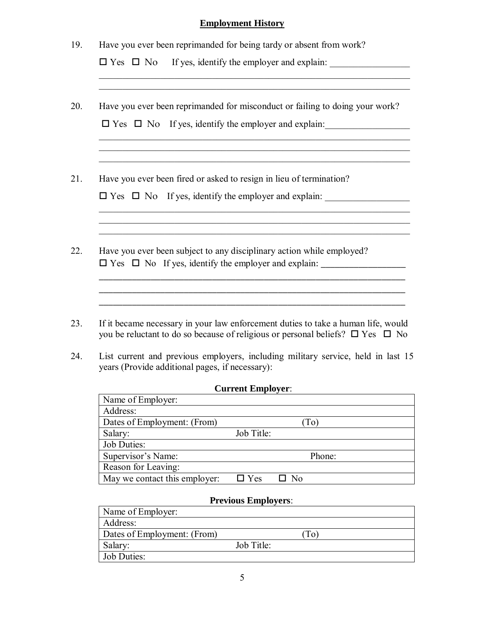### **Employment History**

| 19. | Have you ever been reprimanded for being tardy or absent from work?<br>$\square$ Yes $\square$ No If yes, identify the employer and explain:                                                                                                                          |
|-----|-----------------------------------------------------------------------------------------------------------------------------------------------------------------------------------------------------------------------------------------------------------------------|
| 20. | <u> 1989 - Johann Stoff, amerikansk politiker (* 1908)</u><br>Have you ever been reprimanded for misconduct or failing to doing your work?<br>$\square$ Yes $\square$ No If yes, identify the employer and explain:                                                   |
| 21. | Have you ever been fired or asked to resign in lieu of termination?<br>$\square$ Yes $\square$ No If yes, identify the employer and explain:<br><u> 1989 - Johann John Stoff, deutscher Stoffen und der Stoffen und der Stoffen und der Stoffen und der Stoffen u</u> |
| 22. | Have you ever been subject to any disciplinary action while employed?                                                                                                                                                                                                 |
| 23. | If it became necessary in your law enforcement duties to take a human life, would<br>you be reluctant to do so because of religious or personal beliefs? $\Box$ Yes $\Box$ No                                                                                         |
| 24. | List current and previous employers, including military service, held in last 15<br>years (Provide additional pages, if necessary):                                                                                                                                   |

#### **Current Employer**:

H

| Name of Employer:             |            |                |
|-------------------------------|------------|----------------|
| Address:                      |            |                |
| Dates of Employment: (From)   |            | To)            |
| Salary:                       | Job Title: |                |
| <b>Job Duties:</b>            |            |                |
| Supervisor's Name:            |            | Phone:         |
| Reason for Leaving:           |            |                |
| May we contact this employer: | $\Box$ Yes | N <sub>0</sub> |

### **Previous Employers**:

| Name of Employer:           |            |    |
|-----------------------------|------------|----|
| Address:                    |            |    |
| Dates of Employment: (From) |            | Гo |
| Salary:                     | Job Title: |    |
| Job Duties:                 |            |    |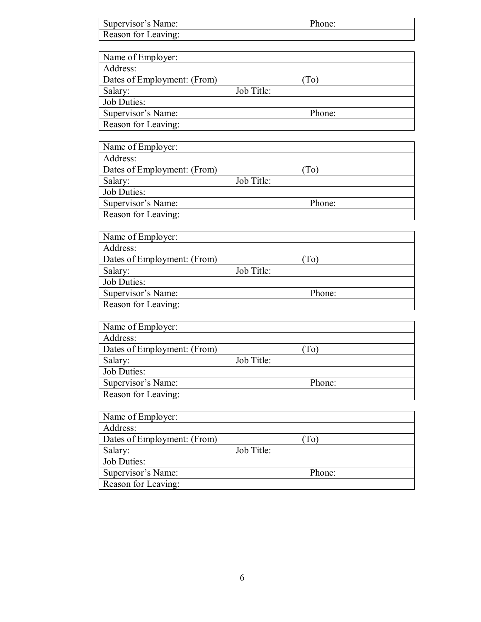| Supervisor's Name:          | Phone:     |
|-----------------------------|------------|
| Reason for Leaving:         |            |
|                             |            |
| Name of Employer:           |            |
| Address:                    |            |
| Dates of Employment: (From) | (To)       |
| Salary:                     | Job Title: |
| <b>Job Duties:</b>          |            |
| Supervisor's Name:          | Phone:     |
| Reason for Leaving:         |            |
|                             |            |
| Name of Employer:           |            |
| Address:                    |            |
| Dates of Employment: (From) | (To)       |
| Salary:                     | Job Title: |
| <b>Job Duties:</b>          |            |
| Supervisor's Name:          | Phone:     |
| Reason for Leaving:         |            |
|                             |            |
| Name of Employer:           |            |
| Address:                    |            |
| Dates of Employment: (From) | (To)       |
| Salary:                     | Job Title: |
| Job Duties:                 |            |
| Supervisor's Name:          | Phone:     |
| Reason for Leaving:         |            |
|                             |            |
| Name of Employer:           |            |
| Address:                    |            |
| Dates of Employment: (From) | (To)       |
| Salary:                     | Job Title: |
| Job Duties:                 |            |
| Supervisor's Name:          | Phone:     |
| Reason for Leaving:         |            |
|                             |            |
| Name of Employer:           |            |
| Address:                    |            |
| Dates of Employment: (From) | (To)       |
| Salary:                     | Job Title: |
| <b>Job Duties:</b>          |            |
| Supervisor's Name:          | Phone:     |
| Reason for Leaving:         |            |
|                             |            |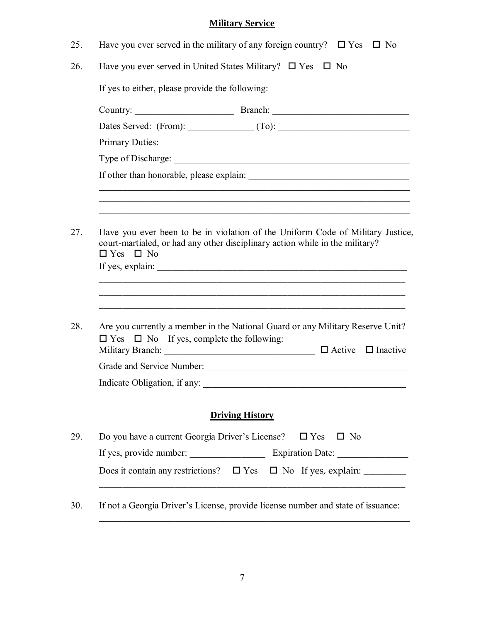## **Military Service**

|                              | Have you ever served in the military of any foreign country? $\square$ Yes $\square$ No                                                                                                                                                                                                                                                                                                                                                                                                                                                                      |                        |  |           |  |
|------------------------------|--------------------------------------------------------------------------------------------------------------------------------------------------------------------------------------------------------------------------------------------------------------------------------------------------------------------------------------------------------------------------------------------------------------------------------------------------------------------------------------------------------------------------------------------------------------|------------------------|--|-----------|--|
|                              | Have you ever served in United States Military? $\square$ Yes $\square$ No                                                                                                                                                                                                                                                                                                                                                                                                                                                                                   |                        |  |           |  |
|                              | If yes to either, please provide the following:                                                                                                                                                                                                                                                                                                                                                                                                                                                                                                              |                        |  |           |  |
|                              |                                                                                                                                                                                                                                                                                                                                                                                                                                                                                                                                                              |                        |  |           |  |
|                              | Dates Served: (From): (To): (To): (To): (To): (To): (To): (To): (To): (To): (To): (To): (To): (To): (To): (To): (To): (To): (To): (To): (To): (To): (To): (To): (To): (To): (To): (To): (To): (To): (To): (To): (To): (To): (T                                                                                                                                                                                                                                                                                                                               |                        |  |           |  |
|                              |                                                                                                                                                                                                                                                                                                                                                                                                                                                                                                                                                              |                        |  |           |  |
|                              |                                                                                                                                                                                                                                                                                                                                                                                                                                                                                                                                                              |                        |  |           |  |
|                              |                                                                                                                                                                                                                                                                                                                                                                                                                                                                                                                                                              |                        |  |           |  |
|                              |                                                                                                                                                                                                                                                                                                                                                                                                                                                                                                                                                              |                        |  |           |  |
|                              |                                                                                                                                                                                                                                                                                                                                                                                                                                                                                                                                                              |                        |  |           |  |
| $\Box$ Yes $\Box$ No         | Have you ever been to be in violation of the Uniform Code of Military Justice,<br>court-martialed, or had any other disciplinary action while in the military?                                                                                                                                                                                                                                                                                                                                                                                               |                        |  |           |  |
|                              | If yes, explain: $\frac{1}{\sqrt{1-\frac{1}{\sqrt{1-\frac{1}{\sqrt{1-\frac{1}{\sqrt{1-\frac{1}{\sqrt{1-\frac{1}{\sqrt{1-\frac{1}{\sqrt{1-\frac{1}{\sqrt{1-\frac{1}{\sqrt{1-\frac{1}{\sqrt{1-\frac{1}{\sqrt{1-\frac{1}{\sqrt{1-\frac{1}{\sqrt{1-\frac{1}{\sqrt{1-\frac{1}{\sqrt{1-\frac{1}{\sqrt{1-\frac{1}{\sqrt{1-\frac{1}{\sqrt{1-\frac{1}{\sqrt{1-\frac{1}{\sqrt{1-\frac{1}{\sqrt{1-\frac{1}{\sqrt{1-\frac{1}{$<br>Are you currently a member in the National Guard or any Military Reserve Unit?<br>$\Box$ Yes $\Box$ No If yes, complete the following: |                        |  |           |  |
|                              |                                                                                                                                                                                                                                                                                                                                                                                                                                                                                                                                                              |                        |  |           |  |
|                              | Grade and Service Number:                                                                                                                                                                                                                                                                                                                                                                                                                                                                                                                                    |                        |  |           |  |
| Indicate Obligation, if any: |                                                                                                                                                                                                                                                                                                                                                                                                                                                                                                                                                              |                        |  |           |  |
|                              |                                                                                                                                                                                                                                                                                                                                                                                                                                                                                                                                                              | <b>Driving History</b> |  |           |  |
|                              | Do you have a current Georgia Driver's License? $\square$ Yes                                                                                                                                                                                                                                                                                                                                                                                                                                                                                                |                        |  | $\Box$ No |  |
|                              |                                                                                                                                                                                                                                                                                                                                                                                                                                                                                                                                                              |                        |  |           |  |

30. If not a Georgia Driver's License, provide license number and state of issuance:

\_\_\_\_\_\_\_\_\_\_\_\_\_\_\_\_\_\_\_\_\_\_\_\_\_\_\_\_\_\_\_\_\_\_\_\_\_\_\_\_\_\_\_\_\_\_\_\_\_\_\_\_\_\_\_\_\_\_\_\_\_\_\_\_\_\_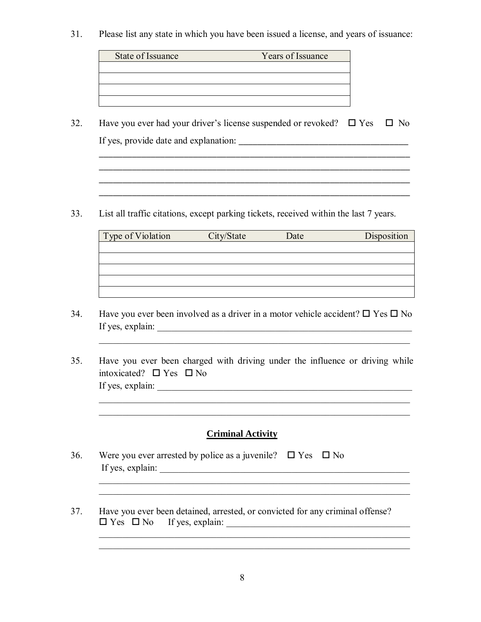31. Please list any state in which you have been issued a license, and years of issuance:

| State of Issuance | Years of Issuance |
|-------------------|-------------------|
|                   |                   |
|                   |                   |
|                   |                   |
|                   |                   |

32. Have you ever had your driver's license suspended or revoked?  $\Box$  Yes  $\Box$  No If yes, provide date and explanation: \_\_\_\_\_\_\_\_\_\_\_\_\_\_\_\_\_\_\_\_\_\_\_\_\_\_\_\_\_\_\_\_\_\_\_\_

\_\_\_\_\_\_\_\_\_\_\_\_\_\_\_\_\_\_\_\_\_\_\_\_\_\_\_\_\_\_\_\_\_\_\_\_\_\_\_\_\_\_\_\_\_\_\_\_\_\_\_\_\_\_\_\_\_\_\_\_\_\_\_\_\_\_

 $\overline{\phantom{a}}$  ,  $\overline{\phantom{a}}$  ,  $\overline{\phantom{a}}$  ,  $\overline{\phantom{a}}$  ,  $\overline{\phantom{a}}$  ,  $\overline{\phantom{a}}$  ,  $\overline{\phantom{a}}$  ,  $\overline{\phantom{a}}$  ,  $\overline{\phantom{a}}$  ,  $\overline{\phantom{a}}$  ,  $\overline{\phantom{a}}$  ,  $\overline{\phantom{a}}$  ,  $\overline{\phantom{a}}$  ,  $\overline{\phantom{a}}$  ,  $\overline{\phantom{a}}$  ,  $\overline{\phantom{a}}$ \_\_\_\_\_\_\_\_\_\_\_\_\_\_\_\_\_\_\_\_\_\_\_\_\_\_\_\_\_\_\_\_\_\_\_\_\_\_\_\_\_\_\_\_\_\_\_\_\_\_\_\_\_\_\_\_\_\_\_\_\_\_\_\_\_\_

 $\mathcal{L}_\mathcal{L} = \{ \mathcal{L}_\mathcal{L} = \{ \mathcal{L}_\mathcal{L} = \{ \mathcal{L}_\mathcal{L} = \{ \mathcal{L}_\mathcal{L} = \{ \mathcal{L}_\mathcal{L} = \{ \mathcal{L}_\mathcal{L} = \{ \mathcal{L}_\mathcal{L} = \{ \mathcal{L}_\mathcal{L} = \{ \mathcal{L}_\mathcal{L} = \{ \mathcal{L}_\mathcal{L} = \{ \mathcal{L}_\mathcal{L} = \{ \mathcal{L}_\mathcal{L} = \{ \mathcal{L}_\mathcal{L} = \{ \mathcal{L}_\mathcal{$ 

33. List all traffic citations, except parking tickets, received within the last 7 years.

| Type of Violation | City/State | Date | Disposition |
|-------------------|------------|------|-------------|
|                   |            |      |             |
|                   |            |      |             |
|                   |            |      |             |
|                   |            |      |             |
|                   |            |      |             |

34. Have you ever been involved as a driver in a motor vehicle accident?  $\Box$  Yes  $\Box$  No If yes, explain: \_\_\_\_\_\_\_\_\_\_\_\_\_\_\_\_\_\_\_\_\_\_\_\_\_\_\_\_\_\_\_\_\_\_\_\_\_\_\_\_\_\_\_\_\_\_\_\_\_\_\_\_\_\_

 $\mathcal{L}_\text{max} = \frac{1}{2} \sum_{i=1}^{n} \frac{1}{2} \sum_{i=1}^{n} \frac{1}{2} \sum_{i=1}^{n} \frac{1}{2} \sum_{i=1}^{n} \frac{1}{2} \sum_{i=1}^{n} \frac{1}{2} \sum_{i=1}^{n} \frac{1}{2} \sum_{i=1}^{n} \frac{1}{2} \sum_{i=1}^{n} \frac{1}{2} \sum_{i=1}^{n} \frac{1}{2} \sum_{i=1}^{n} \frac{1}{2} \sum_{i=1}^{n} \frac{1}{2} \sum_{i=1}^{n} \frac{1$ 

35. Have you ever been charged with driving under the influence or driving while intoxicated?  $\Box$  Yes  $\Box$  No If yes, explain: \_\_\_\_\_\_\_\_\_\_\_\_\_\_\_\_\_\_\_\_\_\_\_\_\_\_\_\_\_\_\_\_\_\_\_\_\_\_\_\_\_\_\_\_\_\_\_\_\_\_\_\_\_\_

 $\mathcal{L}_\text{max} = \frac{1}{2} \sum_{i=1}^{n} \frac{1}{2} \sum_{i=1}^{n} \frac{1}{2} \sum_{i=1}^{n} \frac{1}{2} \sum_{i=1}^{n} \frac{1}{2} \sum_{i=1}^{n} \frac{1}{2} \sum_{i=1}^{n} \frac{1}{2} \sum_{i=1}^{n} \frac{1}{2} \sum_{i=1}^{n} \frac{1}{2} \sum_{i=1}^{n} \frac{1}{2} \sum_{i=1}^{n} \frac{1}{2} \sum_{i=1}^{n} \frac{1}{2} \sum_{i=1}^{n} \frac{1$  $\mathcal{L}_\text{max} = \frac{1}{2} \sum_{i=1}^{n} \frac{1}{2} \sum_{i=1}^{n} \frac{1}{2} \sum_{i=1}^{n} \frac{1}{2} \sum_{i=1}^{n} \frac{1}{2} \sum_{i=1}^{n} \frac{1}{2} \sum_{i=1}^{n} \frac{1}{2} \sum_{i=1}^{n} \frac{1}{2} \sum_{i=1}^{n} \frac{1}{2} \sum_{i=1}^{n} \frac{1}{2} \sum_{i=1}^{n} \frac{1}{2} \sum_{i=1}^{n} \frac{1}{2} \sum_{i=1}^{n} \frac{1$ 

#### **Criminal Activity**

 \_\_\_\_\_\_\_\_\_\_\_\_\_\_\_\_\_\_\_\_\_\_\_\_\_\_\_\_\_\_\_\_\_\_\_\_\_\_\_\_\_\_\_\_\_\_\_\_\_\_\_\_\_\_\_\_\_\_\_\_\_\_\_\_\_\_  $\mathcal{L} = \{ \mathcal{L}_1, \mathcal{L}_2, \ldots, \mathcal{L}_n \}$ 

- 36. Were you ever arrested by police as a juvenile?  $\Box$  Yes  $\Box$  No If yes, explain: \_\_\_\_\_\_\_\_\_\_\_\_\_\_\_\_\_\_\_\_\_\_\_\_\_\_\_\_\_\_\_\_\_\_\_\_\_\_\_\_\_\_\_\_\_\_\_\_\_\_\_\_\_
- 37. Have you ever been detained, arrested, or convicted for any criminal offense?  $\Box$  Yes  $\Box$  No If yes, explain:

 $\mathcal{L}_\text{max} = \frac{1}{2} \sum_{i=1}^{n} \frac{1}{2} \sum_{i=1}^{n} \frac{1}{2} \sum_{i=1}^{n} \frac{1}{2} \sum_{i=1}^{n} \frac{1}{2} \sum_{i=1}^{n} \frac{1}{2} \sum_{i=1}^{n} \frac{1}{2} \sum_{i=1}^{n} \frac{1}{2} \sum_{i=1}^{n} \frac{1}{2} \sum_{i=1}^{n} \frac{1}{2} \sum_{i=1}^{n} \frac{1}{2} \sum_{i=1}^{n} \frac{1}{2} \sum_{i=1}^{n} \frac{1$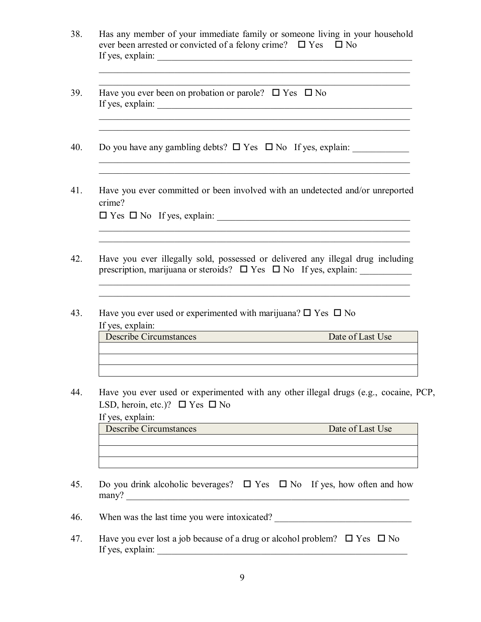| Has any member of your immediate family or someone living in your household<br>ever been arrested or convicted of a felony crime? $\square$ Yes $\square$ No<br>If yes, explain:                                                |                                                                                                                                                                                                            |
|---------------------------------------------------------------------------------------------------------------------------------------------------------------------------------------------------------------------------------|------------------------------------------------------------------------------------------------------------------------------------------------------------------------------------------------------------|
| Have you ever been on probation or parole? $\square$ Yes $\square$ No                                                                                                                                                           |                                                                                                                                                                                                            |
| Do you have any gambling debts? $\Box$ Yes $\Box$ No If yes, explain:                                                                                                                                                           | <u> 1989 - Johann Harry Harry Harry Harry Harry Harry Harry Harry Harry Harry Harry Harry Harry Harry Harry Harry</u><br>,我们也不能在这里的人,我们也不能在这里的人,我们也不能在这里的人,我们也不能在这里的人,我们也不能在这里的人,我们也不能在这里的人,我们也不能在这里的人,我们也 |
| Have you ever committed or been involved with an undetected and/or unreported<br>crime?                                                                                                                                         |                                                                                                                                                                                                            |
| Have you ever illegally sold, possessed or delivered any illegal drug including<br>prescription, marijuana or steroids? $\Box$ Yes $\Box$ No If yes, explain:                                                                   |                                                                                                                                                                                                            |
| Have you ever used or experimented with marijuana? $\square$ Yes $\square$ No<br>If yes, explain:<br><b>Describe Circumstances</b>                                                                                              | Date of Last Use                                                                                                                                                                                           |
|                                                                                                                                                                                                                                 |                                                                                                                                                                                                            |
| Have you ever used or experimented with any other illegal drugs (e.g., cocaine, PCP,<br>LSD, heroin, etc.)? $\Box$ Yes $\Box$ No<br>If yes, explain:                                                                            |                                                                                                                                                                                                            |
| <u> 1989 - Johann Harry Harry Harry Harry Harry Harry Harry Harry Harry Harry Harry Harry Harry Harry Harry Harry</u><br><b>Describe Circumstances</b>                                                                          | Date of Last Use                                                                                                                                                                                           |
| Do you drink alcoholic beverages? $\Box$ Yes $\Box$ No If yes, how often and how<br>many?                                                                                                                                       |                                                                                                                                                                                                            |
|                                                                                                                                                                                                                                 |                                                                                                                                                                                                            |
| Have you ever lost a job because of a drug or alcohol problem? $\Box$ Yes $\Box$ No<br>If yes, explain:<br><u> 1989 - Johann John Stone, mars eta bat eta bat eta bat eta bat eta bat ez arte eta bat ez arte eta bat eta b</u> |                                                                                                                                                                                                            |

9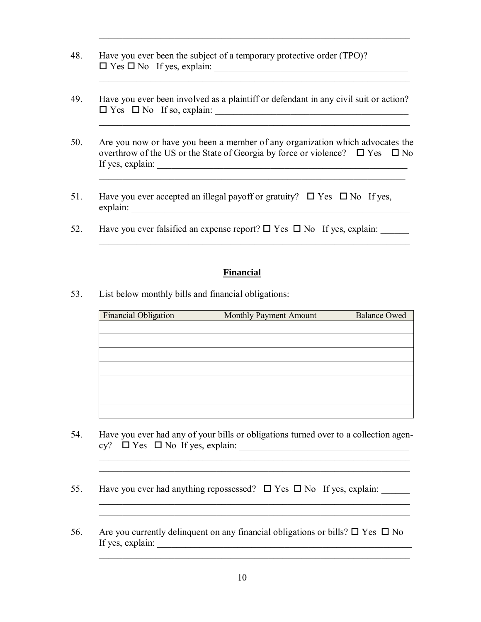- 48. Have you ever been the subject of a temporary protective order (TPO)? Yes No If yes, explain: \_\_\_\_\_\_\_\_\_\_\_\_\_\_\_\_\_\_\_\_\_\_\_\_\_\_\_\_\_\_\_\_\_\_\_\_\_\_\_\_\_
- 49. Have you ever been involved as a plaintiff or defendant in any civil suit or action? Yes No If so, explain: \_\_\_\_\_\_\_\_\_\_\_\_\_\_\_\_\_\_\_\_\_\_\_\_\_\_\_\_\_\_\_\_\_\_\_\_\_\_\_\_\_

 $\mathcal{L}_\text{max} = \frac{1}{2} \sum_{i=1}^{n} \frac{1}{2} \sum_{i=1}^{n} \frac{1}{2} \sum_{i=1}^{n} \frac{1}{2} \sum_{i=1}^{n} \frac{1}{2} \sum_{i=1}^{n} \frac{1}{2} \sum_{i=1}^{n} \frac{1}{2} \sum_{i=1}^{n} \frac{1}{2} \sum_{i=1}^{n} \frac{1}{2} \sum_{i=1}^{n} \frac{1}{2} \sum_{i=1}^{n} \frac{1}{2} \sum_{i=1}^{n} \frac{1}{2} \sum_{i=1}^{n} \frac{1$  $\mathcal{L}_\text{max} = \frac{1}{2} \sum_{i=1}^{n} \frac{1}{2} \sum_{i=1}^{n} \frac{1}{2} \sum_{i=1}^{n} \frac{1}{2} \sum_{i=1}^{n} \frac{1}{2} \sum_{i=1}^{n} \frac{1}{2} \sum_{i=1}^{n} \frac{1}{2} \sum_{i=1}^{n} \frac{1}{2} \sum_{i=1}^{n} \frac{1}{2} \sum_{i=1}^{n} \frac{1}{2} \sum_{i=1}^{n} \frac{1}{2} \sum_{i=1}^{n} \frac{1}{2} \sum_{i=1}^{n} \frac{1$ 

50. Are you now or have you been a member of any organization which advocates the overthrow of the US or the State of Georgia by force or violence?  $\Box$  Yes  $\Box$  No If yes, explain: \_\_\_\_\_\_\_\_\_\_\_\_\_\_\_\_\_\_\_\_\_\_\_\_\_\_\_\_\_\_\_\_\_\_\_\_\_\_\_\_\_\_\_\_\_\_\_\_\_\_\_\_\_

 $\mathcal{L}_\text{max}$  , and the contract of the contract of the contract of the contract of the contract of the contract of

- 51. Have you ever accepted an illegal payoff or gratuity?  $\Box$  Yes  $\Box$  No If yes, explain: \_\_\_\_\_\_\_\_\_\_\_\_\_\_\_\_\_\_\_\_\_\_\_\_\_\_\_\_\_\_\_\_\_\_\_\_\_\_\_\_\_\_\_\_\_\_\_\_\_\_\_\_\_\_\_\_\_\_\_
- 52. Have you ever falsified an expense report?  $\Box$  Yes  $\Box$  No If yes, explain:

#### **Financial**

 $\mathcal{L}_\text{max} = \frac{1}{2} \sum_{i=1}^{n} \frac{1}{2} \sum_{i=1}^{n} \frac{1}{2} \sum_{i=1}^{n} \frac{1}{2} \sum_{i=1}^{n} \frac{1}{2} \sum_{i=1}^{n} \frac{1}{2} \sum_{i=1}^{n} \frac{1}{2} \sum_{i=1}^{n} \frac{1}{2} \sum_{i=1}^{n} \frac{1}{2} \sum_{i=1}^{n} \frac{1}{2} \sum_{i=1}^{n} \frac{1}{2} \sum_{i=1}^{n} \frac{1}{2} \sum_{i=1}^{n} \frac{1$ 

53. List below monthly bills and financial obligations:

\_\_\_\_\_\_\_\_\_\_\_\_\_\_\_\_\_\_\_\_\_\_\_\_\_\_\_\_\_\_\_\_\_\_\_\_\_\_\_\_\_\_\_\_\_\_\_\_\_\_\_\_\_\_\_\_\_\_\_\_\_\_\_\_\_\_

| Financial Obligation | Monthly Payment Amount | <b>Balance Owed</b> |
|----------------------|------------------------|---------------------|
|                      |                        |                     |
|                      |                        |                     |
|                      |                        |                     |
|                      |                        |                     |
|                      |                        |                     |
|                      |                        |                     |
|                      |                        |                     |

54. Have you ever had any of your bills or obligations turned over to a collection agen cy? Yes No If yes, explain: \_\_\_\_\_\_\_\_\_\_\_\_\_\_\_\_\_\_\_\_\_\_\_\_\_\_\_\_\_\_\_\_\_\_\_\_

 $\mathcal{L}_\mathcal{L} = \{ \mathcal{L}_\mathcal{L} = \{ \mathcal{L}_\mathcal{L} = \{ \mathcal{L}_\mathcal{L} = \{ \mathcal{L}_\mathcal{L} = \{ \mathcal{L}_\mathcal{L} = \{ \mathcal{L}_\mathcal{L} = \{ \mathcal{L}_\mathcal{L} = \{ \mathcal{L}_\mathcal{L} = \{ \mathcal{L}_\mathcal{L} = \{ \mathcal{L}_\mathcal{L} = \{ \mathcal{L}_\mathcal{L} = \{ \mathcal{L}_\mathcal{L} = \{ \mathcal{L}_\mathcal{L} = \{ \mathcal{L}_\mathcal{$ 

\_\_\_\_\_\_\_\_\_\_\_\_\_\_\_\_\_\_\_\_\_\_\_\_\_\_\_\_\_\_\_\_\_\_\_\_\_\_\_\_\_\_\_\_\_\_\_\_\_\_\_\_\_\_\_\_\_\_\_\_\_\_\_\_\_\_

- 55. Have you ever had anything repossessed?  $\Box$  Yes  $\Box$  No If yes, explain:
- 56. Are you currently delinguent on any financial obligations or bills?  $\Box$  Yes  $\Box$  No If yes, explain:  $\Box$

 $\mathcal{L}_\text{max} = \frac{1}{2} \sum_{i=1}^{n} \frac{1}{2} \sum_{i=1}^{n} \frac{1}{2} \sum_{i=1}^{n} \frac{1}{2} \sum_{i=1}^{n} \frac{1}{2} \sum_{i=1}^{n} \frac{1}{2} \sum_{i=1}^{n} \frac{1}{2} \sum_{i=1}^{n} \frac{1}{2} \sum_{i=1}^{n} \frac{1}{2} \sum_{i=1}^{n} \frac{1}{2} \sum_{i=1}^{n} \frac{1}{2} \sum_{i=1}^{n} \frac{1}{2} \sum_{i=1}^{n} \frac{1$ 

 $\mathcal{L}_\text{max} = \frac{1}{2} \sum_{i=1}^{n} \frac{1}{2} \sum_{i=1}^{n} \frac{1}{2} \sum_{i=1}^{n} \frac{1}{2} \sum_{i=1}^{n} \frac{1}{2} \sum_{i=1}^{n} \frac{1}{2} \sum_{i=1}^{n} \frac{1}{2} \sum_{i=1}^{n} \frac{1}{2} \sum_{i=1}^{n} \frac{1}{2} \sum_{i=1}^{n} \frac{1}{2} \sum_{i=1}^{n} \frac{1}{2} \sum_{i=1}^{n} \frac{1}{2} \sum_{i=1}^{n} \frac{1$